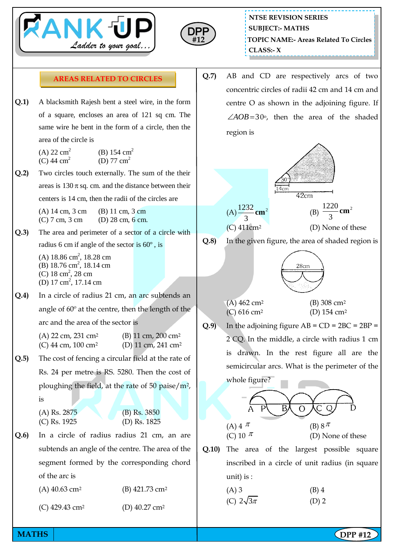



## **AREAS RELATED TO CIRCLES**

**Q.1)** A blacksmith Rajesh bent a steel wire, in the form of a square, encloses an area of 121 sq cm. The same wire he bent in the form of a circle, then the area of the circle is

| (A) 22 $\text{cm}^2$ | (B) 154 $\text{cm}^2$ |
|----------------------|-----------------------|
| (C) 44 $\text{cm}^2$ | (D) 77 $cm2$          |

**Q.2)** Two circles touch externally. The sum of the their areas is  $130 \pi$  sq. cm. and the distance between their centers is 14 cm, then the radii of the circles are

> (A) 14 cm, 3 cm (B) 11 cm, 3 cm (C) 7 cm, 3 cm (D) 28 cm, 6 cm.

- **Q.3)** The area and perimeter of a sector of a circle with radius 6 cm if angle of the sector is 60º , is
	- $(A)$  18.86 cm<sup>2</sup>, 18.28 cm (B) 18.76 cm<sup>2</sup>, 18.14 cm  $(C)$  18 cm<sup>2</sup>, 28 cm (D) 17 cm<sup>2</sup>, 17.14 cm
- **Q.4)** In a circle of radius 21 cm, an arc subtends an angle of 60º at the centre, then the length of the arc and the area of the sector is

| (A) 22 cm, 231 cm <sup>2</sup> | (B) 11 cm, $200 \text{ cm}^2$  |
|--------------------------------|--------------------------------|
| (C) 44 cm, $100 \text{ cm}^2$  | (D) 11 cm, 241 cm <sup>2</sup> |

**Q.5)** The cost of fencing a circular field at the rate of Rs. 24 per metre is RS. 5280. Then the cost of ploughing the field, at the rate of 50 paise/m2, is

| A) Rs. 2875 | $(B)$ Rs. 3850 |
|-------------|----------------|
| C) Rs. 1925 | (D) Rs. $1825$ |

- **Q.6)** In a circle of radius radius 21 cm, an are subtends an angle of the centre. The area of the segment formed by the corresponding chord of the arc is
	- (A) 40.63 cm<sup>2</sup> (B) 421.73 cm<sup>2</sup>
	- (C) 429.43 cm<sup>2</sup> (D) 40.27 cm<sup>2</sup>

**Q.7)** AB and CD are respectively arcs of two concentric circles of radii 42 cm and 14 cm and centre O as shown in the adjoining figure. If  $\angle AOB = 30^\circ$ , then the area of the shaded region is



- 
- **Q.8)** In the given figure, the area of shaded region is



- $(A)$  462 cm<sup>2</sup> (B) 308 cm<sup>2</sup> (C) 616 cm<sup>2</sup> (D) 154 cm<sup>2</sup>
	-
- **Q.9**) In the adjoining figure  $AB = CD = 2BC = 2BP =$ 2 CQ. In the middle, a circle with radius 1 cm is drawn. In the rest figure all are the semicircular arcs. What is the perimeter of the



**Q.10)** The area of the largest possible square inscribed in a circle of unit radius (in square unit) is :

| $(A)$ 3            | $(B)$ 4 |
|--------------------|---------|
| (C) $2\sqrt{3\pi}$ | $(D)$ 2 |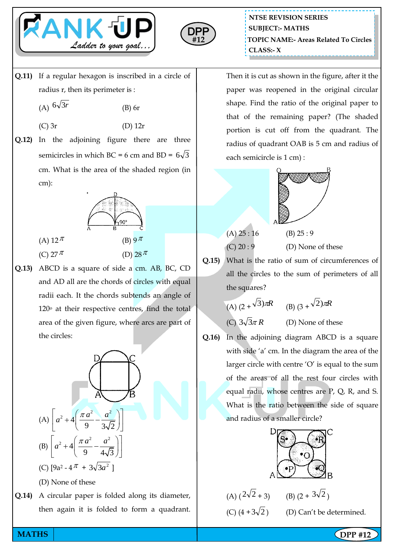



**Q.11)** If a regular hexagon is inscribed in a circle of radius r, then its perimeter is :

> $(A)$  <sup>6 $\sqrt{3}r$ </sup> (B) 6r

(A) 12  $\pi$ 

(C) 27  $\pi$ 

- (C) 3r (D) 12r
- **Q.12)** In the adjoining figure there are three semicircles in which BC = 6 cm and BD =  $6\sqrt{3}$ cm. What is the area of the shaded region (in cm):



**Q.13)** ABCD is a square of side a cm. AB, BC, CD and AD all are the chords of circles with equal radii each. It the chords subtends an angle of  $120<sup>o</sup>$  at their respective centres, find the total area of the given figure, where arcs are part of the circles:



then again it is folded to form a quadrant.

**NTSE REVISION SERIES TOPIC NAME:- Areas Related To Circles CLASS:- X SUBJECT:- MATHS**

Then it is cut as shown in the figure, after it the paper was reopened in the original circular shape. Find the ratio of the original paper to that of the remaining paper? (The shaded portion is cut off from the quadrant. The radius of quadrant OAB is 5 cm and radius of each semicircle is 1 cm) :



| (C) 20:9 |  |  |
|----------|--|--|

(D) None of these

**Q.15)** What is the ratio of sum of circumferences of all the circles to the sum of perimeters of all the squares?

(A) 
$$
(2 + \sqrt{3})\pi R
$$
 (B)  $(3 + \sqrt{2})\pi R$ 

 $(C)$  3 $\sqrt{3}\pi R$ (D) None of these

**Q.16)** In the adjoining diagram ABCD is a square with side 'a' cm. In the diagram the area of the larger circle with centre 'O' is equal to the sum of the areas of all the rest four circles with equal radii, whose centres are P, Q, R, and S. What is the ratio between the side of square and radius of a smaller circle?



| (A) $(2\sqrt{2}+3)$   | (B) $(2 + 3\sqrt{2})$ |
|-----------------------|-----------------------|
| (C) $(4 + 3\sqrt{2})$ | (D) Can't be o        |

) (D) Can't be determined.

**MATHS NATHS Example 2018**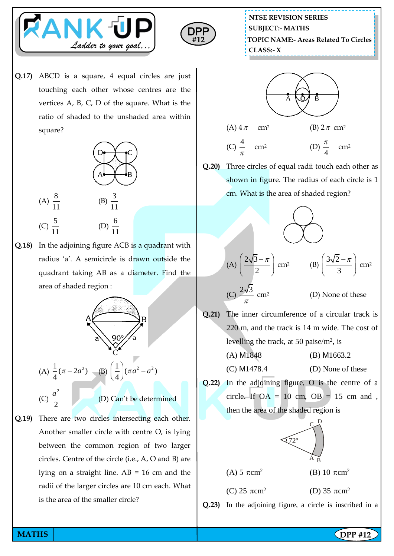



**Q.17)** ABCD is a square, 4 equal circles are just touching each other whose centres are the vertices A, B, C, D of the square. What is the ratio of shaded to the unshaded area within square?



 $(C) \frac{5}{11}$ 11 11 **Q.18)** In the adjoining figure ACB is a quadrant with radius 'a'. A semicircle is drawn outside the quadrant taking AB as a diameter. Find the area of shaded region :

 $(A) \frac{8}{11}$ 11



**Q.19)** There are two circles intersecting each other. Another smaller circle with centre O, is lying between the common region of two larger circles. Centre of the circle (i.e., A, O and B) are lying on a straight line. AB = 16 cm and the radii of the larger circles are 10 cm each. What is the area of the smaller circle?

**NTSE REVISION SERIES TOPIC NAME:- Areas Related To Circles CLASS:- X SUBJECT:- MATHS**



(C) 
$$
\frac{4}{\pi}
$$
 cm<sup>2</sup> (D)  $\frac{\pi}{4}$  cm<sup>2</sup>

**Q.20)** Three circles of equal radii touch each other as shown in figure. The radius of each circle is 1 cm. What is the area of shaded region?



**Q.21)** The inner circumference of a circular track is 220 m, and the track is 14 m wide. The cost of levelling the track, at 50 paise/m<sup>2</sup> , is

π

- (A) M1848 (B) M1663.2
- $(C)$  M1478.4  $(D)$  None of these
- **Q.22)** In the adjoining figure, O is the centre of a circle. If  $OA = 10$  cm,  $OB = 15$  cm and, then the area of the shaded region is

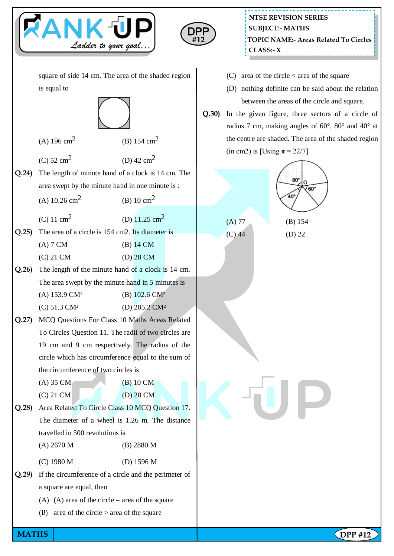

**MATHS NATHS Example 2018**